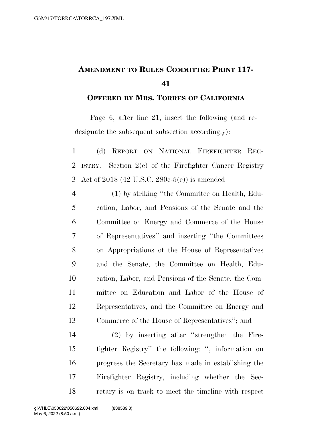## **AMENDMENT TO RULES COMMITTEE PRINT 117-**

## **OFFERED BY MRS. TORRES OF CALIFORNIA**

Page 6, after line 21, insert the following (and redesignate the subsequent subsection accordingly):

 (d) REPORT ON NATIONAL FIREFIGHTER REG- ISTRY.—Section 2(e) of the Firefighter Cancer Registry Act of 2018 (42 U.S.C. 280e-5(e)) is amended—

 (1) by striking ''the Committee on Health, Edu- cation, Labor, and Pensions of the Senate and the Committee on Energy and Commerce of the House of Representatives'' and inserting ''the Committees on Appropriations of the House of Representatives and the Senate, the Committee on Health, Edu- cation, Labor, and Pensions of the Senate, the Com- mittee on Education and Labor of the House of Representatives, and the Committee on Energy and Commerce of the House of Representatives''; and

 (2) by inserting after ''strengthen the Fire- fighter Registry'' the following: '', information on progress the Secretary has made in establishing the Firefighter Registry, including whether the Sec-retary is on track to meet the timeline with respect